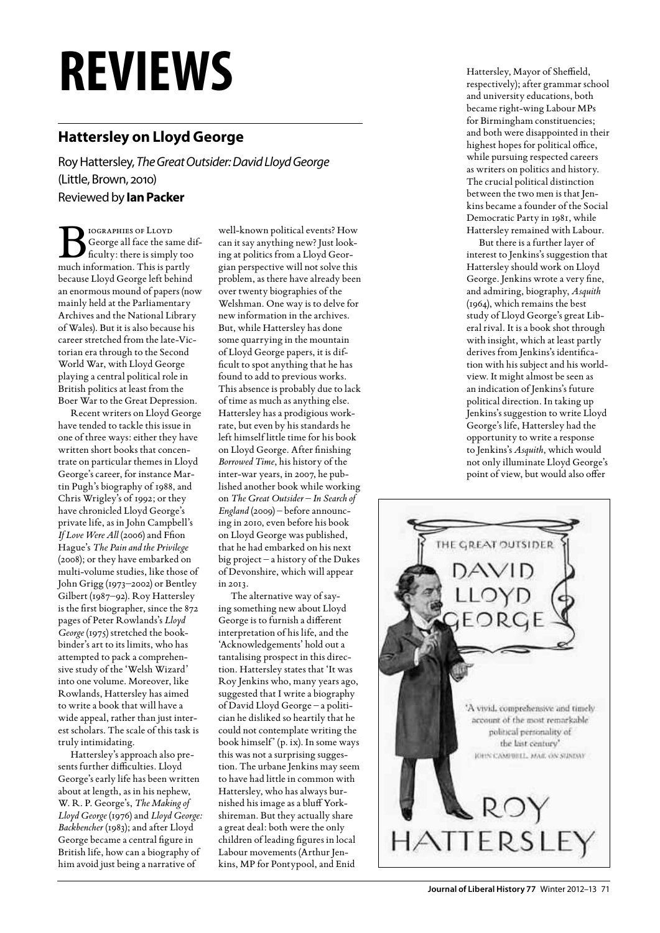## **reviews**

## **Hattersley on Lloyd George**

Roy Hattersley, *The Great Outsider: David Lloyd George* (Little, Brown, 2010) Reviewed by **Ian Packer**

BIOGRAPHIES OF LLOYD<br>
George all face the same di<br>
ficulty: there is simply too George all face the same difmuch information. This is partly because Lloyd George left behind an enormous mound of papers (now mainly held at the Parliamentary Archives and the National Library of Wales). But it is also because his career stretched from the late-Victorian era through to the Second World War, with Lloyd George playing a central political role in British politics at least from the Boer War to the Great Depression.

Recent writers on Lloyd George have tended to tackle this issue in one of three ways: either they have written short books that concentrate on particular themes in Lloyd George's career, for instance Martin Pugh's biography of 1988, and Chris Wrigley's of 1992; or they have chronicled Lloyd George's private life, as in John Campbell's *If Love Were All* (2006) and Ffion Hague's *The Pain and the Privilege* (2008); or they have embarked on multi-volume studies, like those of John Grigg (1973–2002) or Bentley Gilbert (1987–92). Roy Hattersley is the first biographer, since the 872 pages of Peter Rowlands's *Lloyd George* (1975) stretched the bookbinder's art to its limits, who has attempted to pack a comprehensive study of the 'Welsh Wizard' into one volume. Moreover, like Rowlands, Hattersley has aimed to write a book that will have a wide appeal, rather than just interest scholars. The scale of this task is truly intimidating.

Hattersley's approach also presents further difficulties. Lloyd George's early life has been written about at length, as in his nephew, W. R. P. George's, *The Making of Lloyd George* (1976) and *Lloyd George: Backbencher* (1983); and after Lloyd George became a central figure in British life, how can a biography of him avoid just being a narrative of

well-known political events? How can it say anything new? Just looking at politics from a Lloyd Georgian perspective will not solve this problem, as there have already been over twenty biographies of the Welshman. One way is to delve for new information in the archives. But, while Hattersley has done some quarrying in the mountain of Lloyd George papers, it is difficult to spot anything that he has found to add to previous works. This absence is probably due to lack of time as much as anything else. Hattersley has a prodigious workrate, but even by his standards he left himself little time for his book on Lloyd George. After finishing *Borrowed Time*, his history of the inter-war years, in 2007, he published another book while working on *The Great Outsider* – *In Search of England* (2009) – before announcing in 2010, even before his book on Lloyd George was published, that he had embarked on his next big project – a history of the Dukes of Devonshire, which will appear in 2013.

The alternative way of saying something new about Lloyd George is to furnish a different interpretation of his life, and the 'Acknowledgements' hold out a tantalising prospect in this direction. Hattersley states that 'It was Roy Jenkins who, many years ago, suggested that I write a biography of David Lloyd George – a politician he disliked so heartily that he could not contemplate writing the book himself' (p. ix). In some ways this was not a surprising suggestion. The urbane Jenkins may seem to have had little in common with Hattersley, who has always burnished his image as a bluff Yorkshireman. But they actually share a great deal: both were the only children of leading figures in local Labour movements (Arthur Jenkins, MP for Pontypool, and Enid

Hattersley, Mayor of Sheffield, respectively); after grammar school and university educations, both became right-wing Labour MPs for Birmingham constituencies; and both were disappointed in their highest hopes for political office, while pursuing respected careers as writers on politics and history. The crucial political distinction between the two men is that Jenkins became a founder of the Social Democratic Party in 1981, while Hattersley remained with Labour.

But there is a further layer of interest to Jenkins's suggestion that Hattersley should work on Lloyd George. Jenkins wrote a very fine, and admiring, biography, *Asquith* (1964), which remains the best study of Lloyd George's great Liberal rival. It is a book shot through with insight, which at least partly derives from Jenkins's identification with his subject and his worldview. It might almost be seen as an indication of Jenkins's future political direction. In taking up Jenkins's suggestion to write Lloyd George's life, Hattersley had the opportunity to write a response to Jenkins's *Asquith*, which would not only illuminate Lloyd George's point of view, but would also offer